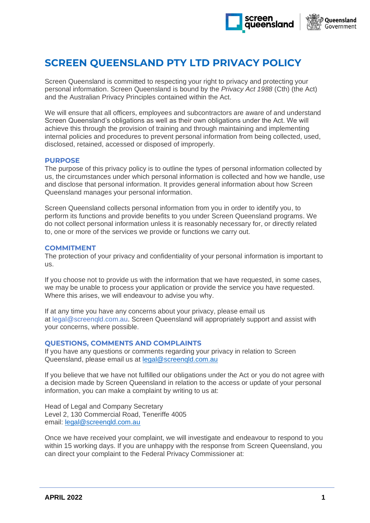



# **SCREEN QUEENSLAND PTY LTD PRIVACY POLICY**

Screen Queensland is committed to respecting your right to privacy and protecting your personal information. Screen Queensland is bound by the *Privacy Act 1988* (Cth) (the Act) and the Australian Privacy Principles contained within the Act.

We will ensure that all officers, employees and subcontractors are aware of and understand Screen Queensland's obligations as well as their own obligations under the Act. We will achieve this through the provision of training and through maintaining and implementing internal policies and procedures to prevent personal information from being collected, used, disclosed, retained, accessed or disposed of improperly.

## **PURPOSE**

The purpose of this privacy policy is to outline the types of personal information collected by us, the circumstances under which personal information is collected and how we handle, use and disclose that personal information. It provides general information about how Screen Queensland manages your personal information.

Screen Queensland collects personal information from you in order to identify you, to perform its functions and provide benefits to you under Screen Queensland programs. We do not collect personal information unless it is reasonably necessary for, or directly related to, one or more of the services we provide or functions we carry out.

## **COMMITMENT**

The protection of your privacy and confidentiality of your personal information is important to us.

If you choose not to provide us with the information that we have requested, in some cases, we may be unable to process your application or provide the service you have requested. Where this arises, we will endeavour to advise you why.

If at any time you have any concerns about your privacy, please email us at legal@screenqld.com.au. Screen Queensland will appropriately support and assist with your concerns, where possible.

## **QUESTIONS, COMMENTS AND COMPLAINTS**

If you have any questions or comments regarding your privacy in relation to Screen Queensland, please email us at [legal@screenqld.com.au](mailto:legal@screenqld.com.au)

If you believe that we have not fulfilled our obligations under the Act or you do not agree with a decision made by Screen Queensland in relation to the access or update of your personal information, you can make a complaint by writing to us at:

Head of Legal and Company Secretary Level 2, 130 Commercial Road, Teneriffe 4005 email: legal@screengld.com.au

Once we have received your complaint, we will investigate and endeavour to respond to you within 15 working days. If you are unhappy with the response from Screen Queensland, you can direct your complaint to the Federal Privacy Commissioner at: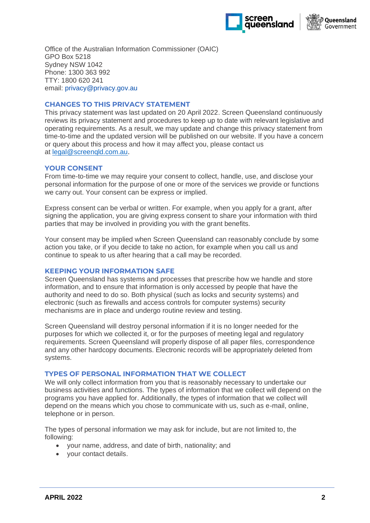



Office of the Australian Information Commissioner (OAIC) GPO Box 5218 Sydney NSW 1042 Phone: 1300 363 992 TTY: 1800 620 241 email: [privacy@privacy.gov.au](mailto:privacy@privacy.gov.au)

# **CHANGES TO THIS PRIVACY STATEMENT**

This privacy statement was last updated on 20 April 2022. Screen Queensland continuously reviews its privacy statement and procedures to keep up to date with relevant legislative and operating requirements. As a result, we may update and change this privacy statement from time-to-time and the updated version will be published on our website. If you have a concern or query about this process and how it may affect you, please contact us at [legal@screenqld.com.au.](mailto:legal@screenqld.com.au)

## **YOUR CONSENT**

From time-to-time we may require your consent to collect, handle, use, and disclose your personal information for the purpose of one or more of the services we provide or functions we carry out. Your consent can be express or implied.

Express consent can be verbal or written. For example, when you apply for a grant, after signing the application, you are giving express consent to share your information with third parties that may be involved in providing you with the grant benefits.

Your consent may be implied when Screen Queensland can reasonably conclude by some action you take, or if you decide to take no action, for example when you call us and continue to speak to us after hearing that a call may be recorded.

## **KEEPING YOUR INFORMATION SAFE**

Screen Queensland has systems and processes that prescribe how we handle and store information, and to ensure that information is only accessed by people that have the authority and need to do so. Both physical (such as locks and security systems) and electronic (such as firewalls and access controls for computer systems) security mechanisms are in place and undergo routine review and testing.

Screen Queensland will destroy personal information if it is no longer needed for the purposes for which we collected it, or for the purposes of meeting legal and regulatory requirements. Screen Queensland will properly dispose of all paper files, correspondence and any other hardcopy documents. Electronic records will be appropriately deleted from systems.

## **TYPES OF PERSONAL INFORMATION THAT WE COLLECT**

We will only collect information from you that is reasonably necessary to undertake our business activities and functions. The types of information that we collect will depend on the programs you have applied for. Additionally, the types of information that we collect will depend on the means which you chose to communicate with us, such as e-mail, online, telephone or in person.

The types of personal information we may ask for include, but are not limited to, the following:

- your name, address, and date of birth, nationality; and
- your contact details.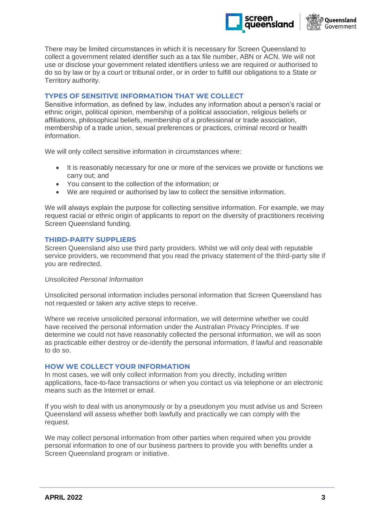



There may be limited circumstances in which it is necessary for Screen Queensland to collect a government related identifier such as a tax file number, ABN or ACN. We will not use or disclose your government related identifiers unless we are required or authorised to do so by law or by a court or tribunal order, or in order to fulfill our obligations to a State or Territory authority.

# **TYPES OF SENSITIVE INFORMATION THAT WE COLLECT**

Sensitive information, as defined by law, includes any information about a person's racial or ethnic origin, political opinion, membership of a political association, religious beliefs or affiliations, philosophical beliefs, membership of a professional or trade association, membership of a trade union, sexual preferences or practices, criminal record or health information.

We will only collect sensitive information in circumstances where:

- It is reasonably necessary for one or more of the services we provide or functions we carry out; and
- You consent to the collection of the information; or
- We are required or authorised by law to collect the sensitive information.

We will always explain the purpose for collecting sensitive information. For example, we may request racial or ethnic origin of applicants to report on the diversity of practitioners receiving Screen Queensland funding.

## **THIRD-PARTY SUPPLIERS**

Screen Queensland also use third party providers. Whilst we will only deal with reputable service providers, we recommend that you read the privacy statement of the third-party site if you are redirected.

#### *Unsolicited Personal Information*

Unsolicited personal information includes personal information that Screen Queensland has not requested or taken any active steps to receive.

Where we receive unsolicited personal information, we will determine whether we could have received the personal information under the Australian Privacy Principles. If we determine we could not have reasonably collected the personal information, we will as soon as practicable either destroy or de-identify the personal information, if lawful and reasonable to do so.

#### **HOW WE COLLECT YOUR INFORMATION**

In most cases, we will only collect information from you directly, including written applications, face-to-face transactions or when you contact us via telephone or an electronic means such as the Internet or email.

If you wish to deal with us anonymously or by a pseudonym you must advise us and Screen Queensland will assess whether both lawfully and practically we can comply with the request.

We may collect personal information from other parties when required when you provide personal information to one of our business partners to provide you with benefits under a Screen Queensland program or initiative.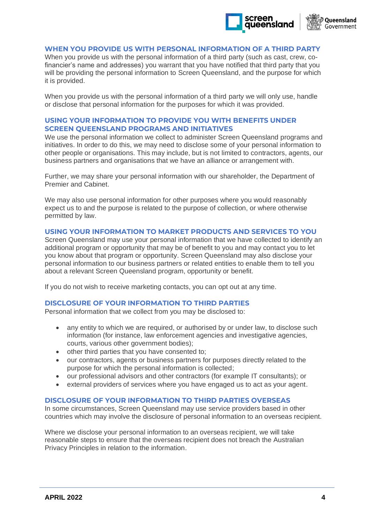



## **WHEN YOU PROVIDE US WITH PERSONAL INFORMATION OF A THIRD PARTY**

When you provide us with the personal information of a third party (such as cast, crew, cofinancier's name and addresses) you warrant that you have notified that third party that you will be providing the personal information to Screen Queensland, and the purpose for which it is provided.

When you provide us with the personal information of a third party we will only use, handle or disclose that personal information for the purposes for which it was provided.

## **USING YOUR INFORMATION TO PROVIDE YOU WITH BENEFITS UNDER SCREEN QUEENSLAND PROGRAMS AND INITIATIVES**

We use the personal information we collect to administer Screen Queensland programs and initiatives. In order to do this, we may need to disclose some of your personal information to other people or organisations. This may include, but is not limited to contractors, agents, our business partners and organisations that we have an alliance or arrangement with.

Further, we may share your personal information with our shareholder, the Department of Premier and Cabinet.

We may also use personal information for other purposes where you would reasonably expect us to and the purpose is related to the purpose of collection, or where otherwise permitted by law.

#### **USING YOUR INFORMATION TO MARKET PRODUCTS AND SERVICES TO YOU**

Screen Queensland may use your personal information that we have collected to identify an additional program or opportunity that may be of benefit to you and may contact you to let you know about that program or opportunity. Screen Queensland may also disclose your personal information to our business partners or related entities to enable them to tell you about a relevant Screen Queensland program, opportunity or benefit.

If you do not wish to receive marketing contacts, you can opt out at any time.

#### **DISCLOSURE OF YOUR INFORMATION TO THIRD PARTIES**

Personal information that we collect from you may be disclosed to:

- any entity to which we are required, or authorised by or under law, to disclose such information (for instance, law enforcement agencies and investigative agencies, courts, various other government bodies);
- other third parties that you have consented to;
- our contractors, agents or business partners for purposes directly related to the purpose for which the personal information is collected;
- our professional advisors and other contractors (for example IT consultants); or
- external providers of services where you have engaged us to act as your agent.

#### **DISCLOSURE OF YOUR INFORMATION TO THIRD PARTIES OVERSEAS**

In some circumstances, Screen Queensland may use service providers based in other countries which may involve the disclosure of personal information to an overseas recipient.

Where we disclose your personal information to an overseas recipient, we will take reasonable steps to ensure that the overseas recipient does not breach the Australian Privacy Principles in relation to the information.